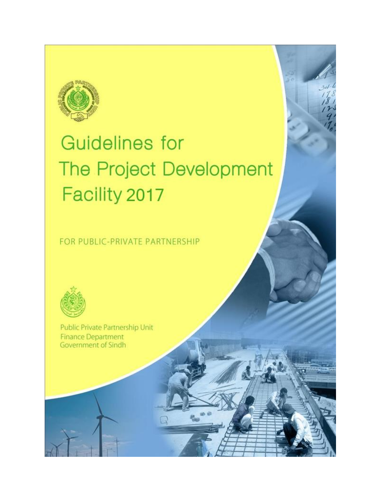

# **Guidelines for** The Project Development Facility 2017

FOR PUBLIC-PRIVATE PARTNERSHIP



Public Private Partnership Unit **Finance Department** Government of Sindh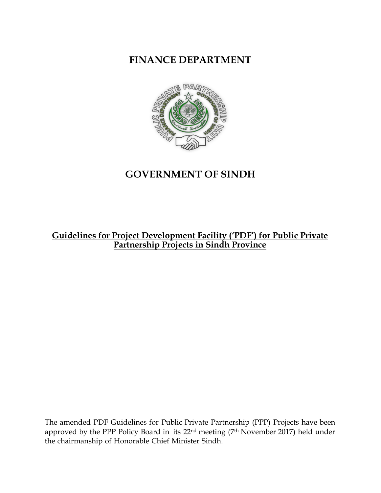**FINANCE DEPARTMENT**



# **GOVERNMENT OF SINDH**

# **Guidelines for Project Development Facility ('PDF') for Public Private Partnership Projects in Sindh Province**

The amended PDF Guidelines for Public Private Partnership (PPP) Projects have been approved by the PPP Policy Board in its 22nd meeting (7th November 2017) held under the chairmanship of Honorable Chief Minister Sindh.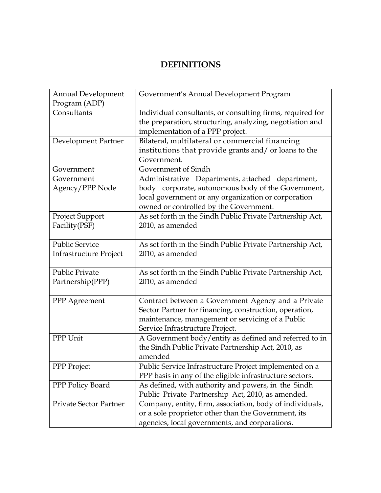# **DEFINITIONS**

| <b>Annual Development</b><br>Program (ADP)      | Government's Annual Development Program                                                                                                                                                                 |
|-------------------------------------------------|---------------------------------------------------------------------------------------------------------------------------------------------------------------------------------------------------------|
| Consultants                                     | Individual consultants, or consulting firms, required for<br>the preparation, structuring, analyzing, negotiation and<br>implementation of a PPP project.                                               |
| Development Partner                             | Bilateral, multilateral or commercial financing<br>institutions that provide grants and/ or loans to the<br>Government.                                                                                 |
| Government                                      | Government of Sindh                                                                                                                                                                                     |
| Government<br>Agency/PPP Node                   | Administrative Departments, attached department,<br>body corporate, autonomous body of the Government,<br>local government or any organization or corporation<br>owned or controlled by the Government. |
| Project Support<br>Facility (PSF)               | As set forth in the Sindh Public Private Partnership Act,<br>2010, as amended                                                                                                                           |
| <b>Public Service</b><br>Infrastructure Project | As set forth in the Sindh Public Private Partnership Act,<br>2010, as amended                                                                                                                           |
| <b>Public Private</b><br>Partnership(PPP)       | As set forth in the Sindh Public Private Partnership Act,<br>2010, as amended                                                                                                                           |
| PPP Agreement                                   | Contract between a Government Agency and a Private<br>Sector Partner for financing, construction, operation,<br>maintenance, management or servicing of a Public<br>Service Infrastructure Project.     |
| PPP Unit                                        | A Government body/entity as defined and referred to in<br>the Sindh Public Private Partnership Act, 2010, as<br>amended                                                                                 |
| PPP Project                                     | Public Service Infrastructure Project implemented on a<br>PPP basis in any of the eligible infrastructure sectors.                                                                                      |
| PPP Policy Board                                | As defined, with authority and powers, in the Sindh<br>Public Private Partnership Act, 2010, as amended.                                                                                                |
| <b>Private Sector Partner</b>                   | Company, entity, firm, association, body of individuals,<br>or a sole proprietor other than the Government, its<br>agencies, local governments, and corporations.                                       |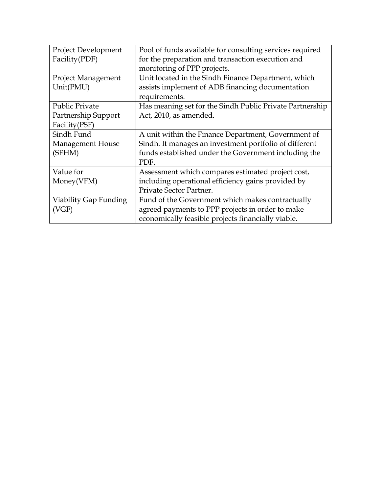| <b>Project Development</b> | Pool of funds available for consulting services required |
|----------------------------|----------------------------------------------------------|
| Facility (PDF)             | for the preparation and transaction execution and        |
|                            | monitoring of PPP projects.                              |
| <b>Project Management</b>  | Unit located in the Sindh Finance Department, which      |
| Unit(PMU)                  | assists implement of ADB financing documentation         |
|                            | requirements.                                            |
| <b>Public Private</b>      | Has meaning set for the Sindh Public Private Partnership |
| Partnership Support        | Act, 2010, as amended.                                   |
| Facility(PSF)              |                                                          |
| Sindh Fund                 | A unit within the Finance Department, Government of      |
| Management House           | Sindh. It manages an investment portfolio of different   |
| (SFHM)                     | funds established under the Government including the     |
|                            | PDF.                                                     |
| Value for                  | Assessment which compares estimated project cost,        |
| Money(VFM)                 | including operational efficiency gains provided by       |
|                            | Private Sector Partner.                                  |
| Viability Gap Funding      | Fund of the Government which makes contractually         |
| (VGF)                      | agreed payments to PPP projects in order to make         |
|                            | economically feasible projects financially viable.       |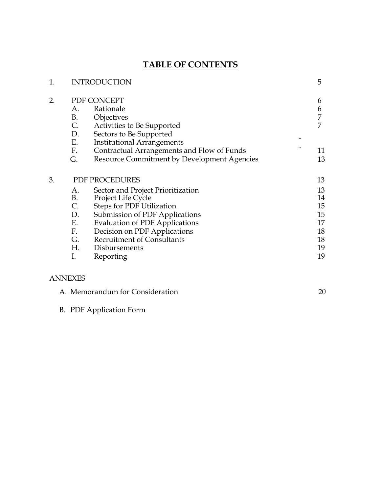# **TABLE OF CONTENTS**

| 1. |           | <b>INTRODUCTION</b>                         |  | 5  |
|----|-----------|---------------------------------------------|--|----|
| 2. |           | PDF CONCEPT                                 |  | 6  |
|    | А.        | Rationale                                   |  | 6  |
|    | <b>B.</b> | Objectives                                  |  | 7  |
|    | C.        | Activities to Be Supported                  |  | 7  |
|    | D.        | Sectors to Be Supported                     |  |    |
|    | E.        | <b>Institutional Arrangements</b>           |  |    |
|    | F.        | Contractual Arrangements and Flow of Funds  |  | 11 |
|    | G.        | Resource Commitment by Development Agencies |  | 13 |
| 3. |           | PDF PROCEDURES                              |  | 13 |
|    | А.        | Sector and Project Prioritization           |  | 13 |
|    | <b>B.</b> | Project Life Cycle                          |  | 14 |
|    | C.        | <b>Steps for PDF Utilization</b>            |  | 15 |
|    | D.        | Submission of PDF Applications              |  | 15 |
|    | Е.        | <b>Evaluation of PDF Applications</b>       |  | 17 |
|    | F.        | Decision on PDF Applications                |  | 18 |
|    | G.        | <b>Recruitment of Consultants</b>           |  | 18 |
|    | Н.        | Disbursements                               |  | 19 |
|    | I.        | Reporting                                   |  | 19 |
|    |           |                                             |  |    |

## ANNEXES

| A. Memorandum for Consideration |  |
|---------------------------------|--|
|---------------------------------|--|

B. PDF Application Form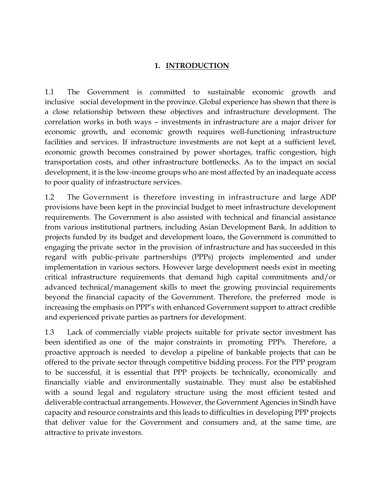### **1. INTRODUCTION**

1.1 The Government is committed to sustainable economic growth and inclusive social development in the province. Global experience has shown that there is a close relationship between these objectives and infrastructure development. The correlation works in both ways – investments in infrastructure are a major driver for economic growth, and economic growth requires well-functioning infrastructure facilities and services. If infrastructure investments are not kept at a sufficient level, economic growth becomes constrained by power shortages, traffic congestion, high transportation costs, and other infrastructure bottlenecks. As to the impact on social development, it is the low-income groups who are most affected by an inadequate access to poor quality of infrastructure services.

1.2 The Government is therefore investing in infrastructure and large ADP provisions have been kept in the provincial budget to meet infrastructure development requirements. The Government is also assisted with technical and financial assistance from various institutional partners, including Asian Development Bank. In addition to projects funded by its budget and development loans, the Government is committed to engaging the private sector in the provision of infrastructure and has succeeded in this regard with public-private partnerships (PPPs) projects implemented and under implementation in various sectors. However large development needs exist in meeting critical infrastructure requirements that demand high capital commitments and/or advanced technical/management skills to meet the growing provincial requirements beyond the financial capacity of the Government. Therefore, the preferred mode is increasing the emphasis on PPP's with enhanced Government support to attract credible and experienced private parties as partners for development.

1.3 Lack of commercially viable projects suitable for private sector investment has been identified as one of the major constraints in promoting PPPs. Therefore, a proactive approach is needed to develop a pipeline of bankable projects that can be offered to the private sector through competitive bidding process. For the PPP program to be successful, it is essential that PPP projects be technically, economically and financially viable and environmentally sustainable. They must also be established with a sound legal and regulatory structure using the most efficient tested and deliverable contractual arrangements. However, the Government Agencies in Sindh have capacity and resource constraints and this leads to difficulties in developing PPP projects that deliver value for the Government and consumers and, at the same time, are attractive to private investors.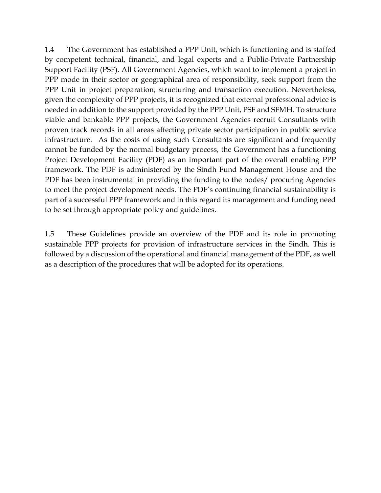1.4 The Government has established a PPP Unit, which is functioning and is staffed by competent technical, financial, and legal experts and a Public-Private Partnership Support Facility (PSF). All Government Agencies, which want to implement a project in PPP mode in their sector or geographical area of responsibility, seek support from the PPP Unit in project preparation, structuring and transaction execution. Nevertheless, given the complexity of PPP projects, it is recognized that external professional advice is needed in addition to the support provided by the PPP Unit, PSF and SFMH. To structure viable and bankable PPP projects, the Government Agencies recruit Consultants with proven track records in all areas affecting private sector participation in public service infrastructure. As the costs of using such Consultants are significant and frequently cannot be funded by the normal budgetary process, the Government has a functioning Project Development Facility (PDF) as an important part of the overall enabling PPP framework. The PDF is administered by the Sindh Fund Management House and the PDF has been instrumental in providing the funding to the nodes/ procuring Agencies to meet the project development needs. The PDF's continuing financial sustainability is part of a successful PPP framework and in this regard its management and funding need to be set through appropriate policy and guidelines.

1.5 These Guidelines provide an overview of the PDF and its role in promoting sustainable PPP projects for provision of infrastructure services in the Sindh. This is followed by a discussion of the operational and financial management of the PDF, as well as a description of the procedures that will be adopted for its operations.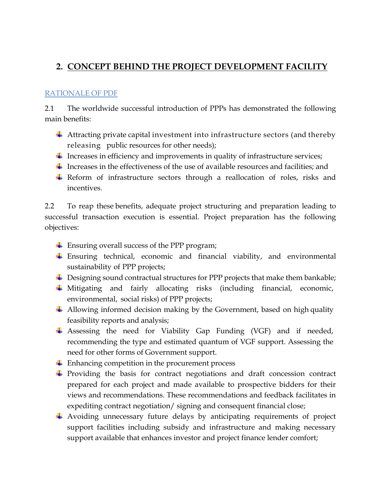# **2. CONCEPT BEHIND THE PROJECT DEVELOPMENT FACILITY**

#### RATIONALE OF PDF

2.1 The worldwide successful introduction of PPPs has demonstrated the following main benefits:

- Attracting private capital investment into infrastructure sectors (and thereby releasing public resources for other needs);
- $\ddot{\phantom{1}}$  Increases in efficiency and improvements in quality of infrastructure services;
- Increases in the effectiveness of the use of available resources and facilities; and
- Reform of infrastructure sectors through a reallocation of roles, risks and incentives.

2.2 To reap these benefits, adequate project structuring and preparation leading to successful transaction execution is essential. Project preparation has the following objectives:

- Ensuring overall success of the PPP program;
- Ensuring technical, economic and financial viability, and environmental sustainability of PPP projects;
- $\overline{\phantom{a}}$  Designing sound contractual structures for PPP projects that make them bankable;
- Mitigating and fairly allocating risks (including financial, economic, environmental, social risks) of PPP projects;
- $\overline{\phantom{a}}$  Allowing informed decision making by the Government, based on high quality feasibility reports and analysis;
- Assessing the need for Viability Gap Funding (VGF) and if needed, recommending the type and estimated quantum of VGF support. Assessing the need for other forms of Government support.
- $\ddot{\phantom{1}}$  Enhancing competition in the procurement process
- Providing the basis for contract negotiations and draft concession contract prepared for each project and made available to prospective bidders for their views and recommendations. These recommendations and feedback facilitates in expediting contract negotiation/ signing and consequent financial close;
- Avoiding unnecessary future delays by anticipating requirements of project support facilities including subsidy and infrastructure and making necessary support available that enhances investor and project finance lender comfort;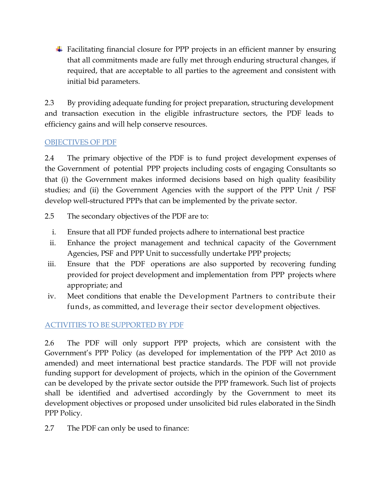Facilitating financial closure for PPP projects in an efficient manner by ensuring that all commitments made are fully met through enduring structural changes, if required, that are acceptable to all parties to the agreement and consistent with initial bid parameters.

2.3 By providing adequate funding for project preparation, structuring development and transaction execution in the eligible infrastructure sectors, the PDF leads to efficiency gains and will help conserve resources.

## OBJECTIVES OF PDF

2.4 The primary objective of the PDF is to fund project development expenses of the Government of potential PPP projects including costs of engaging Consultants so that (i) the Government makes informed decisions based on high quality feasibility studies; and (ii) the Government Agencies with the support of the PPP Unit / PSF develop well-structured PPPs that can be implemented by the private sector.

- 2.5 The secondary objectives of the PDF are to:
	- i. Ensure that all PDF funded projects adhere to international best practice
	- ii. Enhance the project management and technical capacity of the Government Agencies, PSF and PPP Unit to successfully undertake PPP projects;
- iii. Ensure that the PDF operations are also supported by recovering funding provided for project development and implementation from PPP projects where appropriate; and
- iv. Meet conditions that enable the Development Partners to contribute their funds, as committed, and leverage their sector development objectives.

## ACTIVITIES TO BE SUPPORTED BY PDF

2.6 The PDF will only support PPP projects, which are consistent with the Government's PPP Policy (as developed for implementation of the PPP Act 2010 as amended) and meet international best practice standards. The PDF will not provide funding support for development of projects, which in the opinion of the Government can be developed by the private sector outside the PPP framework. Such list of projects shall be identified and advertised accordingly by the Government to meet its development objectives or proposed under unsolicited bid rules elaborated in the Sindh PPP Policy.

2.7 The PDF can only be used to finance: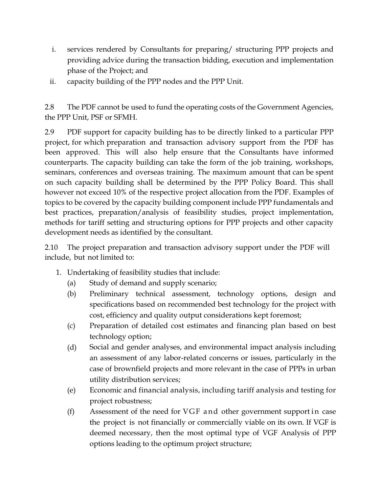- i. services rendered by Consultants for preparing/ structuring PPP projects and providing advice during the transaction bidding, execution and implementation phase of the Project; and
- ii. capacity building of the PPP nodes and the PPP Unit.

2.8 The PDF cannot be used to fund the operating costs of the Government Agencies, the PPP Unit, PSF or SFMH.

2.9 PDF support for capacity building has to be directly linked to a particular PPP project, for which preparation and transaction advisory support from the PDF has been approved. This will also help ensure that the Consultants have informed counterparts. The capacity building can take the form of the job training, workshops, seminars, conferences and overseas training. The maximum amount that can be spent on such capacity building shall be determined by the PPP Policy Board. This shall however not exceed 10% of the respective project allocation from the PDF. Examples of topics to be covered by the capacity building component include PPP fundamentals and best practices, preparation/analysis of feasibility studies, project implementation, methods for tariff setting and structuring options for PPP projects and other capacity development needs as identified by the consultant.

2.10 The project preparation and transaction advisory support under the PDF will include, but not limited to:

- 1. Undertaking of feasibility studies that include:
	- (a) Study of demand and supply scenario;
	- (b) Preliminary technical assessment, technology options, design and specifications based on recommended best technology for the project with cost, efficiency and quality output considerations kept foremost;
	- (c) Preparation of detailed cost estimates and financing plan based on best technology option;
	- (d) Social and gender analyses, and environmental impact analysis including an assessment of any labor-related concerns or issues, particularly in the case of brownfield projects and more relevant in the case of PPPs in urban utility distribution services;
	- (e) Economic and financial analysis, including tariff analysis and testing for project robustness;
	- $(f)$  Assessment of the need for VGF and other government support in case the project is not financially or commercially viable on its own. If VGF is deemed necessary, then the most optimal type of VGF Analysis of PPP options leading to the optimum project structure;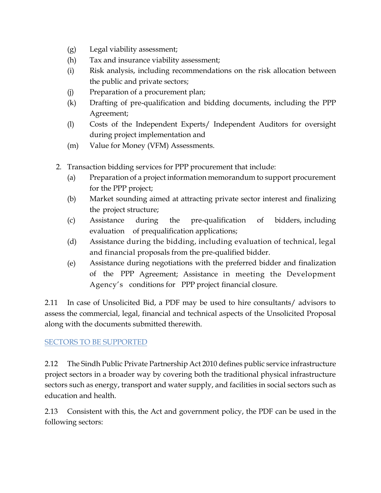- (g) Legal viability assessment;
- (h) Tax and insurance viability assessment;
- (i) Risk analysis, including recommendations on the risk allocation between the public and private sectors;
- (j) Preparation of a procurement plan;
- (k) Drafting of pre-qualification and bidding documents, including the PPP Agreement;
- (l) Costs of the Independent Experts/ Independent Auditors for oversight during project implementation and
- (m) Value for Money (VFM) Assessments.
- 2. Transaction bidding services for PPP procurement that include:
	- (a) Preparation of a project information memorandum to support procurement for the PPP project;
	- (b) Market sounding aimed at attracting private sector interest and finalizing the project structure;
	- (c) Assistance during the pre-qualification of bidders, including evaluation of prequalification applications;
	- (d) Assistance during the bidding, including evaluation of technical, legal and financial proposals from the pre-qualified bidder.
	- (e) Assistance during negotiations with the preferred bidder and finalization of the PPP Agreement; Assistance in meeting the Development Agency's conditions for PPP project financial closure.

2.11 In case of Unsolicited Bid, a PDF may be used to hire consultants/ advisors to assess the commercial, legal, financial and technical aspects of the Unsolicited Proposal along with the documents submitted therewith.

#### SECTORS TO BE SUPPORTED

2.12 The Sindh Public Private Partnership Act 2010 defines public service infrastructure project sectors in a broader way by covering both the traditional physical infrastructure sectors such as energy, transport and water supply, and facilities in social sectors such as education and health.

2.13 Consistent with this, the Act and government policy, the PDF can be used in the following sectors: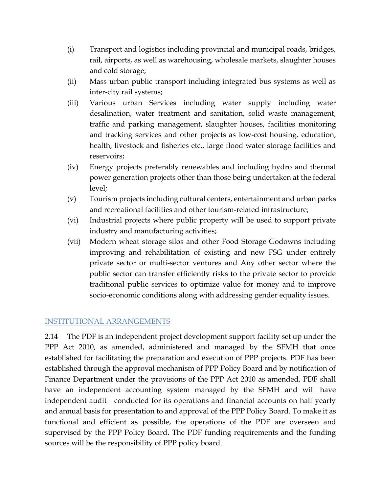- (i) Transport and logistics including provincial and municipal roads, bridges, rail, airports, as well as warehousing, wholesale markets, slaughter houses and cold storage;
- (ii) Mass urban public transport including integrated bus systems as well as inter-city rail systems;
- (iii) Various urban Services including water supply including water desalination, water treatment and sanitation, solid waste management, traffic and parking management, slaughter houses, facilities monitoring and tracking services and other projects as low-cost housing, education, health, livestock and fisheries etc., large flood water storage facilities and reservoirs;
- (iv) Energy projects preferably renewables and including hydro and thermal power generation projects other than those being undertaken at the federal level;
- (v) Tourism projects including cultural centers, entertainment and urban parks and recreational facilities and other tourism-related infrastructure;
- (vi) Industrial projects where public property will be used to support private industry and manufacturing activities;
- (vii) Modern wheat storage silos and other Food Storage Godowns including improving and rehabilitation of existing and new FSG under entirely private sector or multi-sector ventures and Any other sector where the public sector can transfer efficiently risks to the private sector to provide traditional public services to optimize value for money and to improve socio-economic conditions along with addressing gender equality issues.

#### INSTITUTIONAL ARRANGEMENTS

2.14 The PDF is an independent project development support facility set up under the PPP Act 2010, as amended, administered and managed by the SFMH that once established for facilitating the preparation and execution of PPP projects. PDF has been established through the approval mechanism of PPP Policy Board and by notification of Finance Department under the provisions of the PPP Act 2010 as amended. PDF shall have an independent accounting system managed by the SFMH and will have independent audit conducted for its operations and financial accounts on half yearly and annual basis for presentation to and approval of the PPP Policy Board. To make it as functional and efficient as possible, the operations of the PDF are overseen and supervised by the PPP Policy Board. The PDF funding requirements and the funding sources will be the responsibility of PPP policy board.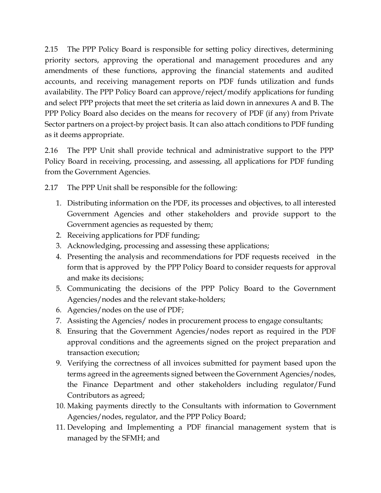2.15 The PPP Policy Board is responsible for setting policy directives, determining priority sectors, approving the operational and management procedures and any amendments of these functions, approving the financial statements and audited accounts, and receiving management reports on PDF funds utilization and funds availability. The PPP Policy Board can approve/reject/modify applications for funding and select PPP projects that meet the set criteria as laid down in annexures A and B. The PPP Policy Board also decides on the means for recovery of PDF (if any) from Private Sector partners on a project-by project basis. It can also attach conditions to PDF funding as it deems appropriate.

2.16 The PPP Unit shall provide technical and administrative support to the PPP Policy Board in receiving, processing, and assessing, all applications for PDF funding from the Government Agencies.

2.17 The PPP Unit shall be responsible for the following:

- 1. Distributing information on the PDF, its processes and objectives, to all interested Government Agencies and other stakeholders and provide support to the Government agencies as requested by them;
- 2. Receiving applications for PDF funding;
- 3. Acknowledging, processing and assessing these applications;
- 4. Presenting the analysis and recommendations for PDF requests received in the form that is approved by the PPP Policy Board to consider requests for approval and make its decisions;
- 5. Communicating the decisions of the PPP Policy Board to the Government Agencies/nodes and the relevant stake-holders;
- 6. Agencies/nodes on the use of PDF;
- 7. Assisting the Agencies/ nodes in procurement process to engage consultants;
- 8. Ensuring that the Government Agencies/nodes report as required in the PDF approval conditions and the agreements signed on the project preparation and transaction execution;
- 9. Verifying the correctness of all invoices submitted for payment based upon the terms agreed in the agreements signed between the Government Agencies/nodes, the Finance Department and other stakeholders including regulator/Fund Contributors as agreed;
- 10. Making payments directly to the Consultants with information to Government Agencies/nodes, regulator, and the PPP Policy Board;
- 11. Developing and Implementing a PDF financial management system that is managed by the SFMH; and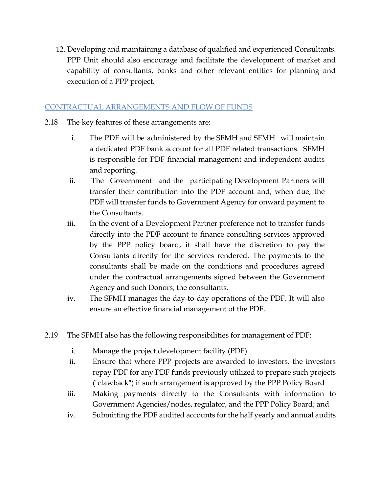12. Developing and maintaining a database of qualified and experienced Consultants. PPP Unit should also encourage and facilitate the development of market and capability of consultants, banks and other relevant entities for planning and execution of a PPP project.

#### CONTRACTUAL ARRANGEMENTS AND FLOW OF FUNDS

- 2.18 The key features of these arrangements are:
	- i. The PDF will be administered by the SFMH and SFMH will maintain a dedicated PDF bank account for all PDF related transactions. SFMH is responsible for PDF financial management and independent audits and reporting.
	- ii. The Government and the participating Development Partners will transfer their contribution into the PDF account and, when due, the PDF will transfer funds to Government Agency for onward payment to the Consultants.
	- iii. In the event of a Development Partner preference not to transfer funds directly into the PDF account to finance consulting services approved by the PPP policy board, it shall have the discretion to pay the Consultants directly for the services rendered. The payments to the consultants shall be made on the conditions and procedures agreed under the contractual arrangements signed between the Government Agency and such Donors, the consultants.
	- iv. The SFMH manages the day-to-day operations of the PDF. It will also ensure an effective financial management of the PDF.
- 2.19 The SFMH also has the following responsibilities for management of PDF:
	- i. Manage the project development facility (PDF)
	- ii. Ensure that where PPP projects are awarded to investors, the investors repay PDF for any PDF funds previously utilized to prepare such projects ("clawback") if such arrangement is approved by the PPP Policy Board
	- iii. Making payments directly to the Consultants with information to Government Agencies/nodes, regulator, and the PPP Policy Board; and
	- iv. Submitting the PDF audited accounts for the half yearly and annual audits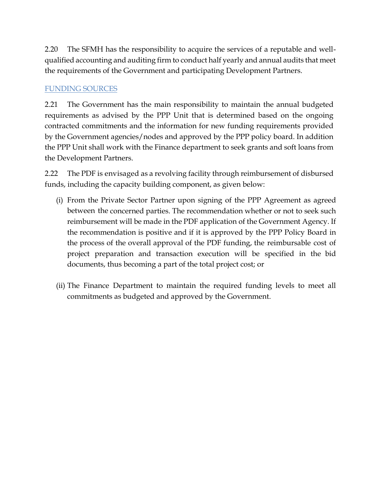2.20 The SFMH has the responsibility to acquire the services of a reputable and wellqualified accounting and auditing firm to conduct half yearly and annual audits that meet the requirements of the Government and participating Development Partners.

## FUNDING SOURCES

2.21 The Government has the main responsibility to maintain the annual budgeted requirements as advised by the PPP Unit that is determined based on the ongoing contracted commitments and the information for new funding requirements provided by the Government agencies/nodes and approved by the PPP policy board. In addition the PPP Unit shall work with the Finance department to seek grants and soft loans from the Development Partners.

2.22 The PDF is envisaged as a revolving facility through reimbursement of disbursed funds, including the capacity building component, as given below:

- (i) From the Private Sector Partner upon signing of the PPP Agreement as agreed between the concerned parties. The recommendation whether or not to seek such reimbursement will be made in the PDF application of the Government Agency. If the recommendation is positive and if it is approved by the PPP Policy Board in the process of the overall approval of the PDF funding, the reimbursable cost of project preparation and transaction execution will be specified in the bid documents, thus becoming a part of the total project cost; or
- (ii) The Finance Department to maintain the required funding levels to meet all commitments as budgeted and approved by the Government.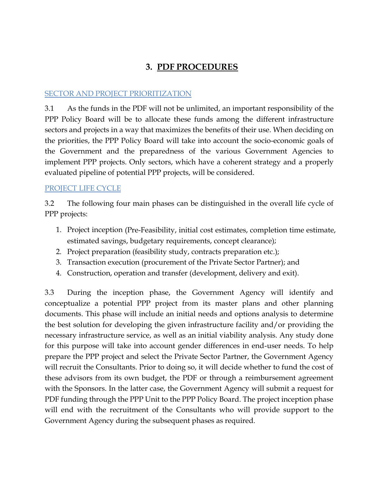# **3. PDF PROCEDURES**

#### SECTOR AND PROJECT PRIORITIZATION

3.1 As the funds in the PDF will not be unlimited, an important responsibility of the PPP Policy Board will be to allocate these funds among the different infrastructure sectors and projects in a way that maximizes the benefits of their use. When deciding on the priorities, the PPP Policy Board will take into account the socio-economic goals of the Government and the preparedness of the various Government Agencies to implement PPP projects. Only sectors, which have a coherent strategy and a properly evaluated pipeline of potential PPP projects, will be considered.

## PROJECT LIFE CYCLE

3.2 The following four main phases can be distinguished in the overall life cycle of PPP projects:

- 1. Project inception (Pre-Feasibility, initial cost estimates, completion time estimate, estimated savings, budgetary requirements, concept clearance);
- 2. Project preparation (feasibility study, contracts preparation etc.);
- 3. Transaction execution (procurement of the Private Sector Partner); and
- 4. Construction, operation and transfer (development, delivery and exit).

3.3 During the inception phase, the Government Agency will identify and conceptualize a potential PPP project from its master plans and other planning documents. This phase will include an initial needs and options analysis to determine the best solution for developing the given infrastructure facility and/or providing the necessary infrastructure service, as well as an initial viability analysis. Any study done for this purpose will take into account gender differences in end-user needs. To help prepare the PPP project and select the Private Sector Partner, the Government Agency will recruit the Consultants. Prior to doing so, it will decide whether to fund the cost of these advisors from its own budget, the PDF or through a reimbursement agreement with the Sponsors. In the latter case, the Government Agency will submit a request for PDF funding through the PPP Unit to the PPP Policy Board. The project inception phase will end with the recruitment of the Consultants who will provide support to the Government Agency during the subsequent phases as required.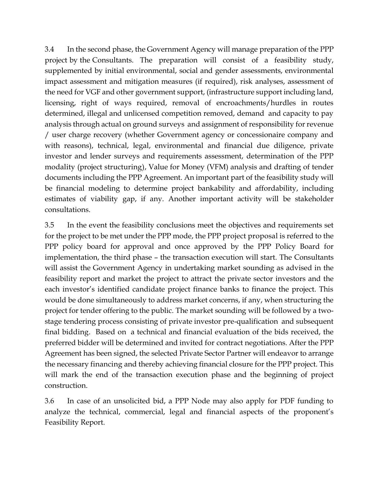3.4 In the second phase, the Government Agency will manage preparation of the PPP project by the Consultants. The preparation will consist of a feasibility study, supplemented by initial environmental, social and gender assessments, environmental impact assessment and mitigation measures (if required), risk analyses, assessment of the need for VGF and other government support, (infrastructure support including land, licensing, right of ways required, removal of encroachments/hurdles in routes determined, illegal and unlicensed competition removed, demand and capacity to pay analysis through actual on ground surveys and assignment of responsibility for revenue / user charge recovery (whether Government agency or concessionaire company and with reasons), technical, legal, environmental and financial due diligence, private investor and lender surveys and requirements assessment, determination of the PPP modality (project structuring), Value for Money (VFM) analysis and drafting of tender documents including the PPP Agreement. An important part of the feasibility study will be financial modeling to determine project bankability and affordability, including estimates of viability gap, if any. Another important activity will be stakeholder consultations.

3.5 In the event the feasibility conclusions meet the objectives and requirements set for the project to be met under the PPP mode, the PPP project proposal is referred to the PPP policy board for approval and once approved by the PPP Policy Board for implementation, the third phase – the transaction execution will start. The Consultants will assist the Government Agency in undertaking market sounding as advised in the feasibility report and market the project to attract the private sector investors and the each investor's identified candidate project finance banks to finance the project. This would be done simultaneously to address market concerns, if any, when structuring the project for tender offering to the public. The market sounding will be followed by a twostage tendering process consisting of private investor pre-qualification and subsequent final bidding. Based on a technical and financial evaluation of the bids received, the preferred bidder will be determined and invited for contract negotiations. After the PPP Agreement has been signed, the selected Private Sector Partner will endeavor to arrange the necessary financing and thereby achieving financial closure for the PPP project. This will mark the end of the transaction execution phase and the beginning of project construction.

3.6 In case of an unsolicited bid, a PPP Node may also apply for PDF funding to analyze the technical, commercial, legal and financial aspects of the proponent's Feasibility Report.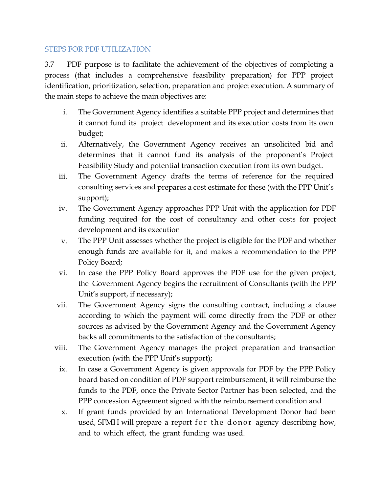#### STEPS FOR PDF UTILIZATION

3.7 PDF purpose is to facilitate the achievement of the objectives of completing a process (that includes a comprehensive feasibility preparation) for PPP project identification, prioritization, selection, preparation and project execution. A summary of the main steps to achieve the main objectives are:

- i. The Government Agency identifies a suitable PPP project and determines that it cannot fund its project development and its execution costs from its own budget;
- ii. Alternatively, the Government Agency receives an unsolicited bid and determines that it cannot fund its analysis of the proponent's Project Feasibility Study and potential transaction execution from its own budget.
- iii. The Government Agency drafts the terms of reference for the required consulting services and prepares a cost estimate for these (with the PPP Unit's support);
- iv. The Government Agency approaches PPP Unit with the application for PDF funding required for the cost of consultancy and other costs for project development and its execution
- v. The PPP Unit assesses whether the project is eligible for the PDF and whether enough funds are available for it, and makes a recommendation to the PPP Policy Board;
- vi. In case the PPP Policy Board approves the PDF use for the given project, the Government Agency begins the recruitment of Consultants (with the PPP Unit's support, if necessary);
- vii. The Government Agency signs the consulting contract, including a clause according to which the payment will come directly from the PDF or other sources as advised by the Government Agency and the Government Agency backs all commitments to the satisfaction of the consultants;
- viii. The Government Agency manages the project preparation and transaction execution (with the PPP Unit's support);
	- ix. In case a Government Agency is given approvals for PDF by the PPP Policy board based on condition of PDF support reimbursement, it will reimburse the funds to the PDF, once the Private Sector Partner has been selected, and the PPP concession Agreement signed with the reimbursement condition and
	- x. If grant funds provided by an International Development Donor had been used, SFMH will prepare a report for the donor agency describing how, and to which effect, the grant funding was used.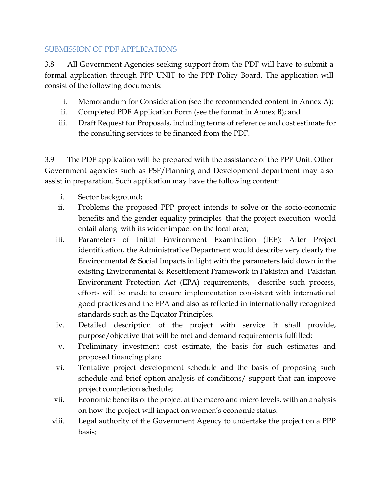#### SUBMISSION OF PDF APPLICATIONS

3.8 All Government Agencies seeking support from the PDF will have to submit a formal application through PPP UNIT to the PPP Policy Board. The application will consist of the following documents:

- i. Memorandum for Consideration (see the recommended content in Annex A);
- ii. Completed PDF Application Form (see the format in Annex B); and
- iii. Draft Request for Proposals, including terms of reference and cost estimate for the consulting services to be financed from the PDF.

3.9 The PDF application will be prepared with the assistance of the PPP Unit. Other Government agencies such as PSF/Planning and Development department may also assist in preparation. Such application may have the following content:

- i. Sector background;
- ii. Problems the proposed PPP project intends to solve or the socio-economic benefits and the gender equality principles that the project execution would entail along with its wider impact on the local area;
- iii. Parameters of Initial Environment Examination (IEE): After Project identification, the Administrative Department would describe very clearly the Environmental & Social Impacts in light with the parameters laid down in the existing Environmental & Resettlement Framework in Pakistan and Pakistan Environment Protection Act (EPA) requirements, describe such process, efforts will be made to ensure implementation consistent with international good practices and the EPA and also as reflected in internationally recognized standards such as the Equator Principles.
- iv. Detailed description of the project with service it shall provide, purpose/objective that will be met and demand requirements fulfilled;
- v. Preliminary investment cost estimate, the basis for such estimates and proposed financing plan;
- vi. Tentative project development schedule and the basis of proposing such schedule and brief option analysis of conditions/ support that can improve project completion schedule;
- vii. Economic benefits of the project at the macro and micro levels, with an analysis on how the project will impact on women's economic status.
- viii. Legal authority of the Government Agency to undertake the project on a PPP basis;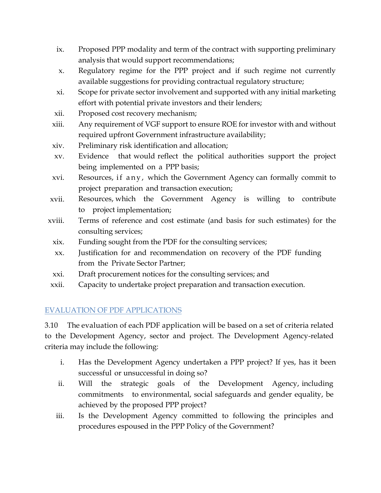- ix. Proposed PPP modality and term of the contract with supporting preliminary analysis that would support recommendations;
- x. Regulatory regime for the PPP project and if such regime not currently available suggestions for providing contractual regulatory structure;
- xi. Scope for private sector involvement and supported with any initial marketing effort with potential private investors and their lenders;
- xii. Proposed cost recovery mechanism;
- xiii. Any requirement of VGF support to ensure ROE for investor with and without required upfront Government infrastructure availability;
- xiv. Preliminary risk identification and allocation;
- xv. Evidence that would reflect the political authorities support the project being implemented on a PPP basis;
- xvi. Resources, if any, which the Government Agency can formally commit to project preparation and transaction execution;
- xvii. Resources, which the Government Agency is willing to contribute to project implementation;
- xviii. Terms of reference and cost estimate (and basis for such estimates) for the consulting services;
- xix. Funding sought from the PDF for the consulting services;
- xx. Justification for and recommendation on recovery of the PDF funding from the Private Sector Partner;
- xxi. Draft procurement notices for the consulting services; and
- xxii. Capacity to undertake project preparation and transaction execution.

## EVALUATION OF PDF APPLICATIONS

3.10 The evaluation of each PDF application will be based on a set of criteria related to the Development Agency, sector and project. The Development Agency-related criteria may include the following:

- i. Has the Development Agency undertaken a PPP project? If yes, has it been successful or unsuccessful in doing so?
- ii. Will the strategic goals of the Development Agency, including commitments to environmental, social safeguards and gender equality, be achieved by the proposed PPP project?
- iii. Is the Development Agency committed to following the principles and procedures espoused in the PPP Policy of the Government?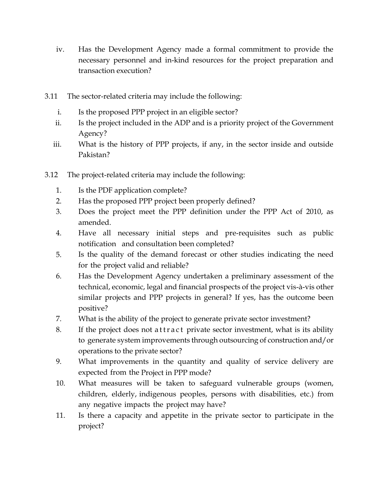- iv. Has the Development Agency made a formal commitment to provide the necessary personnel and in-kind resources for the project preparation and transaction execution?
- 3.11 The sector-related criteria may include the following:
	- i. Is the proposed PPP project in an eligible sector?
	- ii. Is the project included in the ADP and is a priority project of the Government Agency?
	- iii. What is the history of PPP projects, if any, in the sector inside and outside Pakistan?
- 3.12 The project-related criteria may include the following:
	- 1. Is the PDF application complete?
	- 2. Has the proposed PPP project been properly defined?
	- 3. Does the project meet the PPP definition under the PPP Act of 2010, as amended.
	- 4. Have all necessary initial steps and pre-requisites such as public notification and consultation been completed?
	- 5. Is the quality of the demand forecast or other studies indicating the need for the project valid and reliable?
	- 6. Has the Development Agency undertaken a preliminary assessment of the technical, economic, legal and financial prospects of the project vis-à-vis other similar projects and PPP projects in general? If yes, has the outcome been positive?
	- 7. What is the ability of the project to generate private sector investment?
	- 8. If the project does not a t t r a c t private sector investment, what is its ability to generate system improvements through outsourcing of construction and/or operations to the private sector?
	- 9. What improvements in the quantity and quality of service delivery are expected from the Project in PPP mode?
	- 10. What measures will be taken to safeguard vulnerable groups (women, children, elderly, indigenous peoples, persons with disabilities, etc.) from any negative impacts the project may have?
	- 11. Is there a capacity and appetite in the private sector to participate in the project?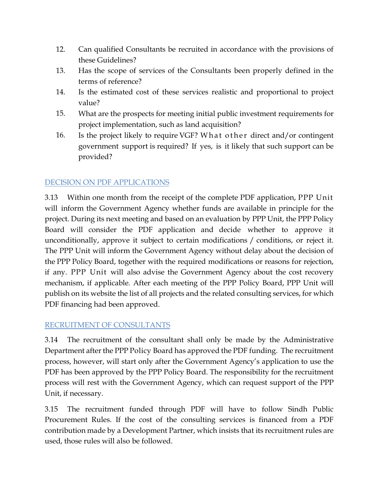- 12. Can qualified Consultants be recruited in accordance with the provisions of these Guidelines?
- 13. Has the scope of services of the Consultants been properly defined in the terms of reference?
- 14. Is the estimated cost of these services realistic and proportional to project value?
- 15. What are the prospects for meeting initial public investment requirements for project implementation, such as land acquisition?
- 16. Is the project likely to require VGF? What other direct and/or contingent government support is required? If yes, is it likely that such support can be provided?

## DECISION ON PDF APPLICATIONS

3.13 Within one month from the receipt of the complete PDF application, PPP Unit will inform the Government Agency whether funds are available in principle for the project. During its next meeting and based on an evaluation by PPP Unit, the PPP Policy Board will consider the PDF application and decide whether to approve it unconditionally, approve it subject to certain modifications / conditions, or reject it. The PPP Unit will inform the Government Agency without delay about the decision of the PPP Policy Board, together with the required modifications or reasons for rejection, if any. PPP Unit will also advise the Government Agency about the cost recovery mechanism, if applicable. After each meeting of the PPP Policy Board, PPP Unit will publish on its website the list of all projects and the related consulting services, for which PDF financing had been approved.

#### RECRUITMENT OF CONSULTANTS

3.14 The recruitment of the consultant shall only be made by the Administrative Department after the PPP Policy Board has approved the PDF funding. The recruitment process, however, will start only after the Government Agency's application to use the PDF has been approved by the PPP Policy Board. The responsibility for the recruitment process will rest with the Government Agency, which can request support of the PPP Unit, if necessary.

3.15 The recruitment funded through PDF will have to follow Sindh Public Procurement Rules. If the cost of the consulting services is financed from a PDF contribution made by a Development Partner, which insists that its recruitment rules are used, those rules will also be followed.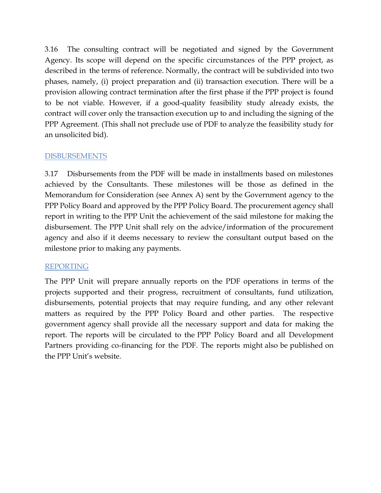3.16 The consulting contract will be negotiated and signed by the Government Agency. Its scope will depend on the specific circumstances of the PPP project, as described in the terms of reference. Normally, the contract will be subdivided into two phases, namely, (i) project preparation and (ii) transaction execution. There will be a provision allowing contract termination after the first phase if the PPP project is found to be not viable. However, if a good-quality feasibility study already exists, the contract will cover only the transaction execution up to and including the signing of the PPP Agreement. (This shall not preclude use of PDF to analyze the feasibility study for an unsolicited bid).

#### DISBURSEMENTS

3.17 Disbursements from the PDF will be made in installments based on milestones achieved by the Consultants. These milestones will be those as defined in the Memorandum for Consideration (see Annex A) sent by the Government agency to the PPP Policy Board and approved by the PPP Policy Board. The procurement agency shall report in writing to the PPP Unit the achievement of the said milestone for making the disbursement. The PPP Unit shall rely on the advice/information of the procurement agency and also if it deems necessary to review the consultant output based on the milestone prior to making any payments.

#### REPORTING

The PPP Unit will prepare annually reports on the PDF operations in terms of the projects supported and their progress, recruitment of consultants, fund utilization, disbursements, potential projects that may require funding, and any other relevant matters as required by the PPP Policy Board and other parties. The respective government agency shall provide all the necessary support and data for making the report. The reports will be circulated to the PPP Policy Board and all Development Partners providing co-financing for the PDF. The reports might also be published on the PPP Unit's website.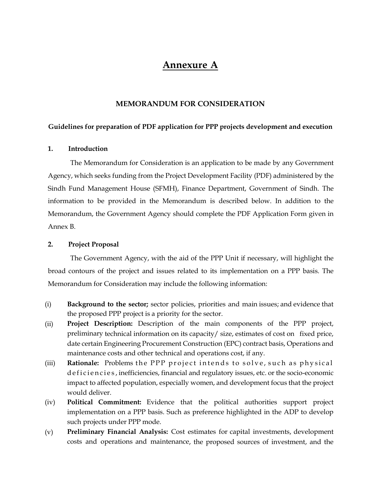# **Annexure A**

#### **MEMORANDUM FOR CONSIDERATION**

#### **Guidelines for preparation of PDF application for PPP projects development and execution**

#### **1. Introduction**

The Memorandum for Consideration is an application to be made by any Government Agency, which seeks funding from the Project Development Facility (PDF) administered by the Sindh Fund Management House (SFMH), Finance Department, Government of Sindh. The information to be provided in the Memorandum is described below. In addition to the Memorandum, the Government Agency should complete the PDF Application Form given in Annex B.

#### **2. Project Proposal**

The Government Agency, with the aid of the PPP Unit if necessary, will highlight the broad contours of the project and issues related to its implementation on a PPP basis. The Memorandum for Consideration may include the following information:

- (i) **Background to the sector;** sector policies, priorities and main issues; and evidence that the proposed PPP project is a priority for the sector.
- (ii) **Project Description:** Description of the main components of the PPP project, preliminary technical information on its capacity/ size, estimates of cost on fixed price, date certain Engineering Procurement Construction (EPC) contract basis, Operations and maintenance costs and other technical and operations cost, if any.
- (iii) **Rationale:** Problems the PPP project intends to solve, such as physical d e ficiencies, inefficiencies, financial and regulatory issues, etc. or the socio-economic impact to affected population, especially women, and development focus that the project would deliver.
- (iv) **Political Commitment:** Evidence that the political authorities support project implementation on a PPP basis. Such as preference highlighted in the ADP to develop such projects under PPP mode.
- (v) **Preliminary Financial Analysis:** Cost estimates for capital investments, development costs and operations and maintenance, the proposed sources of investment, and the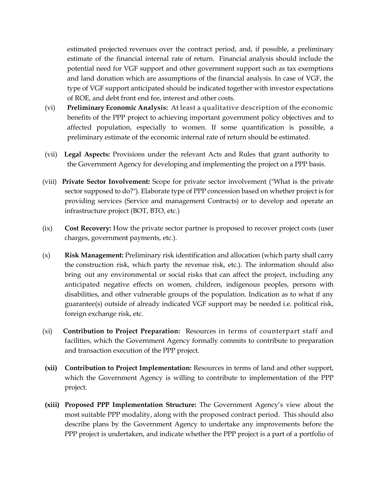estimated projected revenues over the contract period, and, if possible, a preliminary estimate of the financial internal rate of return. Financial analysis should include the potential need for VGF support and other government support such as tax exemptions and land donation which are assumptions of the financial analysis. In case of VGF, the type of VGF support anticipated should be indicated together with investor expectations of ROE, and debt front end fee, interest and other costs.

- (vi) **Preliminary Economic Analysis:** At least a qualitative description of the economic benefits of the PPP project to achieving important government policy objectives and to affected population, especially to women. If some quantification is possible, a preliminary estimate of the economic internal rate of return should be estimated.
- (vii) **Legal Aspects:** Provisions under the relevant Acts and Rules that grant authority to the Government Agency for developing and implementing the project on a PPP basis.
- (viii) **Private Sector Involvement:** Scope for private sector involvement ("What is the private sector supposed to do?"). Elaborate type of PPP concession based on whether project is for providing services (Service and management Contracts) or to develop and operate an infrastructure project (BOT, BTO, etc.)
- (ix) **Cost Recovery:** How the private sector partner is proposed to recover project costs (user charges, government payments, etc.).
- (x) **Risk Management:** Preliminary risk identification and allocation (which party shall carry the construction risk, which party the revenue risk, etc.). The information should also bring out any environmental or social risks that can affect the project, including any anticipated negative effects on women, children, indigenous peoples, persons with disabilities, and other vulnerable groups of the population. Indication as to what if any guarantee(s) outside of already indicated VGF support may be needed i.e. political risk, foreign exchange risk, etc.
- (xi) **Contribution to Project Preparation:** Resources in terms of counterpart staff and facilities, which the Government Agency formally commits to contribute to preparation and transaction execution of the PPP project.
- **(xii) Contribution to Project Implementation:** Resources in terms of land and other support, which the Government Agency is willing to contribute to implementation of the PPP project.
- **(xiii) Proposed PPP Implementation Structure:** The Government Agency's view about the most suitable PPP modality, along with the proposed contract period. This should also describe plans by the Government Agency to undertake any improvements before the PPP project is undertaken, and indicate whether the PPP project is a part of a portfolio of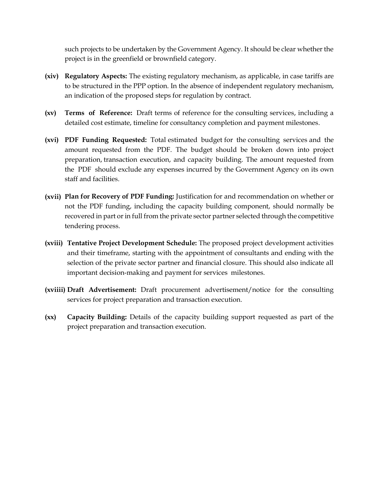such projects to be undertaken by the Government Agency. It should be clear whether the project is in the greenfield or brownfield category.

- **(xiv) Regulatory Aspects:** The existing regulatory mechanism, as applicable, in case tariffs are to be structured in the PPP option. In the absence of independent regulatory mechanism, an indication of the proposed steps for regulation by contract.
- **(xv) Terms of Reference:** Draft terms of reference for the consulting services, including a detailed cost estimate, timeline for consultancy completion and payment milestones.
- **(xvi) PDF Funding Requested:** Total estimated budget for the consulting services and the amount requested from the PDF. The budget should be broken down into project preparation, transaction execution, and capacity building. The amount requested from the PDF should exclude any expenses incurred by the Government Agency on its own staff and facilities.
- **(xvii) Plan for Recovery of PDF Funding:** Justification for and recommendation on whether or not the PDF funding, including the capacity building component, should normally be recovered in part or in full from the private sector partner selected through the competitive tendering process.
- **(xviii) Tentative Project Development Schedule:** The proposed project development activities and their timeframe, starting with the appointment of consultants and ending with the selection of the private sector partner and financial closure. This should also indicate all important decision-making and payment for services milestones.
- **(xviiii) Draft Advertisement:** Draft procurement advertisement/notice for the consulting services for project preparation and transaction execution.
- **(xx) Capacity Building:** Details of the capacity building support requested as part of the project preparation and transaction execution.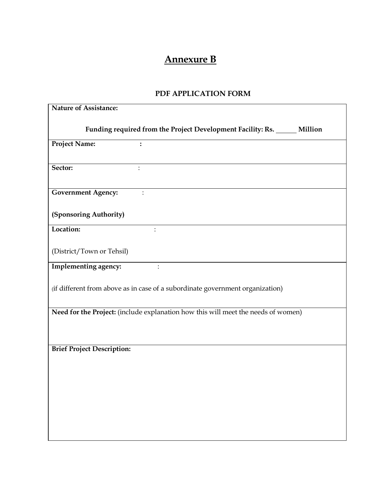# **Annexure B**

## **PDF APPLICATION FORM**

| Nature of Assistance:                                                             |
|-----------------------------------------------------------------------------------|
|                                                                                   |
| Funding required from the Project Development Facility: Rs. _____ Million         |
| <b>Project Name:</b><br>$\ddot{\cdot}$                                            |
|                                                                                   |
| Sector:<br>$\ddot{\cdot}$                                                         |
|                                                                                   |
| <b>Government Agency:</b>                                                         |
|                                                                                   |
| (Sponsoring Authority)                                                            |
| Location:                                                                         |
|                                                                                   |
| (District/Town or Tehsil)                                                         |
| Implementing agency:<br>$\ddot{\cdot}$                                            |
|                                                                                   |
| (if different from above as in case of a subordinate government organization)     |
|                                                                                   |
| Need for the Project: (include explanation how this will meet the needs of women) |
|                                                                                   |
|                                                                                   |
| <b>Brief Project Description:</b>                                                 |
|                                                                                   |
|                                                                                   |
|                                                                                   |
|                                                                                   |
|                                                                                   |
|                                                                                   |
|                                                                                   |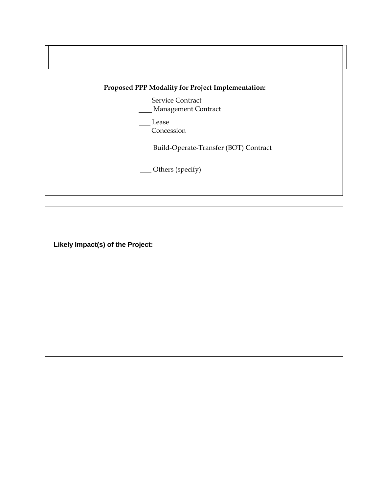

**Likely Impact(s) of the Project:**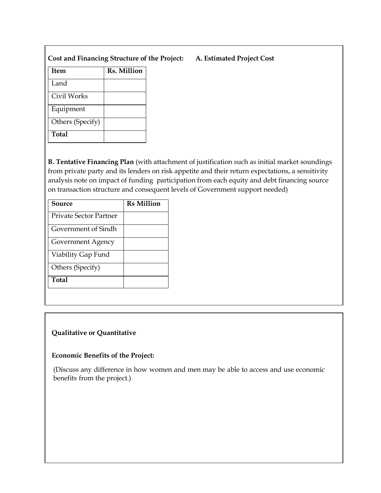| Cost and Financing Structure of the Project: |  |  |
|----------------------------------------------|--|--|
|                                              |  |  |

**Total**

Equipment

Others (Specify)

| <b>Item</b> | Rs. Million |  |
|-------------|-------------|--|
| Land        |             |  |
| Civil Works |             |  |

**B. Tentative Financing Plan** (with attachment of justification such as initial market soundings from private party and its lenders on risk appetite and their return expectations, a sensitivity analysis note on impact of funding participation from each equity and debt financing source on transaction structure and consequent levels of Government support needed)

| Source                 | <b>Rs Million</b> |
|------------------------|-------------------|
| Private Sector Partner |                   |
| Government of Sindh    |                   |
| Government Agency      |                   |
| Viability Gap Fund     |                   |
| Others (Specify)       |                   |
| Total                  |                   |

#### **Qualitative or Quantitative**

#### **Economic Benefits of the Project:**

(Discuss any difference in how women and men may be able to access and use economic benefits from the project.)

#### **Cost and Financing Structure of the Project: A. Estimated Project Cost**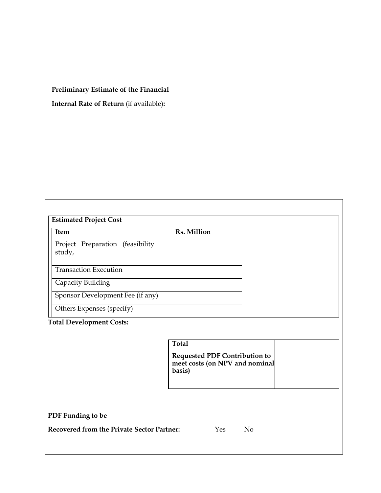## **Preliminary Estimate of the Financial**

**Internal Rate of Return** (if available)**:**

| <b>Item</b>                                | Rs. Million |
|--------------------------------------------|-------------|
| Project Preparation (feasibility<br>study, |             |
| <b>Transaction Execution</b>               |             |
| Capacity Building                          |             |
| Sponsor Development Fee (if any)           |             |
| Others Expenses (specify)                  |             |

## **Total Development Costs:**

| Total                                                                            |  |
|----------------------------------------------------------------------------------|--|
| <b>Requested PDF Contribution to</b><br>meet costs (on NPV and nominal<br>basis) |  |

**PDF Funding to be**

**Recovered from the Private Sector Partner:** 

| ÷ |  |  |
|---|--|--|
|   |  |  |